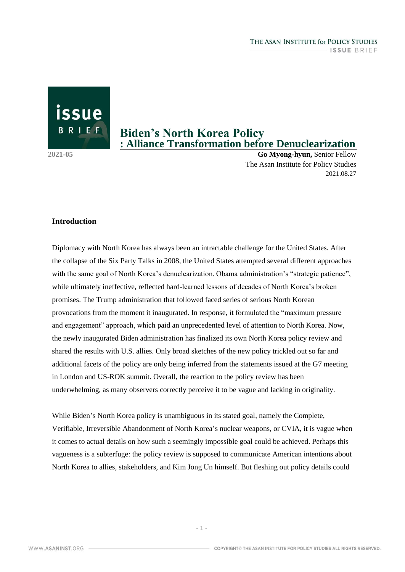issue BRIEF

# **Biden's North Korea Policy : Alliance Transformation before Denuclearization**

**2021-05 Go Myong-hyun,** Senior Fellow The Asan Institute for Policy Studies 2021.08.27

## **Introduction**

Diplomacy with North Korea has always been an intractable challenge for the United States. After the collapse of the Six Party Talks in 2008, the United States attempted several different approaches with the same goal of North Korea's denuclearization. Obama administration's "strategic patience", while ultimately ineffective, reflected hard-learned lessons of decades of North Korea's broken promises. The Trump administration that followed faced series of serious North Korean provocations from the moment it inaugurated. In response, it formulated the "maximum pressure and engagement" approach, which paid an unprecedented level of attention to North Korea. Now, the newly inaugurated Biden administration has finalized its own North Korea policy review and shared the results with U.S. allies. Only broad sketches of the new policy trickled out so far and additional facets of the policy are only being inferred from the statements issued at the G7 meeting in London and US-ROK summit. Overall, the reaction to the policy review has been underwhelming, as many observers correctly perceive it to be vague and lacking in originality.

While Biden's North Korea policy is unambiguous in its stated goal, namely the Complete, Verifiable, Irreversible Abandonment of North Korea's nuclear weapons, or CVIA, it is vague when it comes to actual details on how such a seemingly impossible goal could be achieved. Perhaps this vagueness is a subterfuge: the policy review is supposed to communicate American intentions about North Korea to allies, stakeholders, and Kim Jong Un himself. But fleshing out policy details could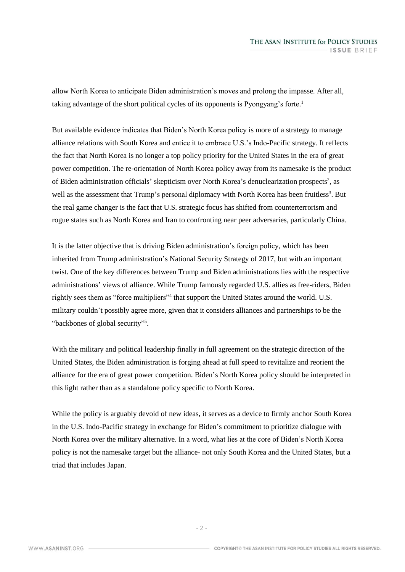allow North Korea to anticipate Biden administration's moves and prolong the impasse. After all, taking advantage of the short political cycles of its opponents is Pyongyang's forte. 1

But available evidence indicates that Biden's North Korea policy is more of a strategy to manage alliance relations with South Korea and entice it to embrace U.S.'s Indo-Pacific strategy. It reflects the fact that North Korea is no longer a top policy priority for the United States in the era of great power competition. The re-orientation of North Korea policy away from its namesake is the product of Biden administration officials' skepticism over North Korea's denuclearization prospects<sup>2</sup>, as well as the assessment that Trump's personal diplomacy with North Korea has been fruitless<sup>3</sup>. But the real game changer is the fact that U.S. strategic focus has shifted from counterterrorism and rogue states such as North Korea and Iran to confronting near peer adversaries, particularly China.

It is the latter objective that is driving Biden administration's foreign policy, which has been inherited from Trump administration's National Security Strategy of 2017, but with an important twist. One of the key differences between Trump and Biden administrations lies with the respective administrations' views of alliance. While Trump famously regarded U.S. allies as free-riders, Biden rightly sees them as "force multipliers"<sup>4</sup> that support the United States around the world. U.S. military couldn't possibly agree more, given that it considers alliances and partnerships to be the "backbones of global security"<sup>5</sup>.

With the military and political leadership finally in full agreement on the strategic direction of the United States, the Biden administration is forging ahead at full speed to revitalize and reorient the alliance for the era of great power competition. Biden's North Korea policy should be interpreted in this light rather than as a standalone policy specific to North Korea.

While the policy is arguably devoid of new ideas, it serves as a device to firmly anchor South Korea in the U.S. Indo-Pacific strategy in exchange for Biden's commitment to prioritize dialogue with North Korea over the military alternative. In a word, what lies at the core of Biden's North Korea policy is not the namesake target but the alliance- not only South Korea and the United States, but a triad that includes Japan.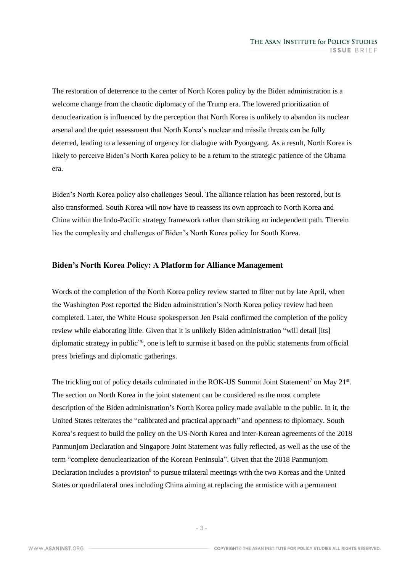The restoration of deterrence to the center of North Korea policy by the Biden administration is a welcome change from the chaotic diplomacy of the Trump era. The lowered prioritization of denuclearization is influenced by the perception that North Korea is unlikely to abandon its nuclear arsenal and the quiet assessment that North Korea's nuclear and missile threats can be fully deterred, leading to a lessening of urgency for dialogue with Pyongyang. As a result, North Korea is likely to perceive Biden's North Korea policy to be a return to the strategic patience of the Obama era.

Biden's North Korea policy also challenges Seoul. The alliance relation has been restored, but is also transformed. South Korea will now have to reassess its own approach to North Korea and China within the Indo-Pacific strategy framework rather than striking an independent path. Therein lies the complexity and challenges of Biden's North Korea policy for South Korea.

#### **Biden's North Korea Policy: A Platform for Alliance Management**

Words of the completion of the North Korea policy review started to filter out by late April, when the Washington Post reported the Biden administration's North Korea policy review had been completed. Later, the White House spokesperson Jen Psaki confirmed the completion of the policy review while elaborating little. Given that it is unlikely Biden administration "will detail [its] diplomatic strategy in public"<sup>6</sup>, one is left to surmise it based on the public statements from official press briefings and diplomatic gatherings.

The trickling out of policy details culminated in the ROK-US Summit Joint Statement<sup>7</sup> on May 21<sup>st</sup>. The section on North Korea in the joint statement can be considered as the most complete description of the Biden administration's North Korea policy made available to the public. In it, the United States reiterates the "calibrated and practical approach" and openness to diplomacy. South Korea's request to build the policy on the US-North Korea and inter-Korean agreements of the 2018 Panmunjom Declaration and Singapore Joint Statement was fully reflected, as well as the use of the term "complete denuclearization of the Korean Peninsula". Given that the 2018 Panmunjom Declaration includes a provision<sup>8</sup> to pursue trilateral meetings with the two Koreas and the United States or quadrilateral ones including China aiming at replacing the armistice with a permanent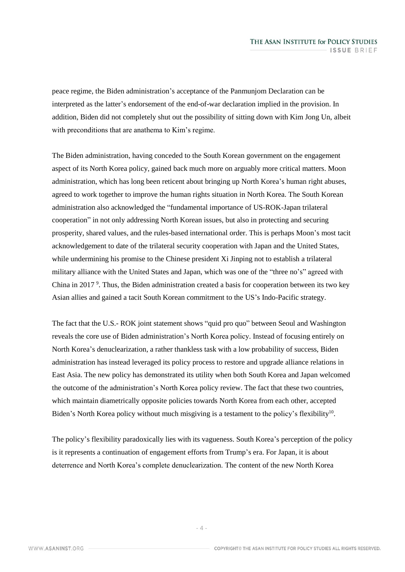peace regime, the Biden administration's acceptance of the Panmunjom Declaration can be interpreted as the latter's endorsement of the end-of-war declaration implied in the provision. In addition, Biden did not completely shut out the possibility of sitting down with Kim Jong Un, albeit with preconditions that are anathema to Kim's regime.

The Biden administration, having conceded to the South Korean government on the engagement aspect of its North Korea policy, gained back much more on arguably more critical matters. Moon administration, which has long been reticent about bringing up North Korea's human right abuses, agreed to work together to improve the human rights situation in North Korea. The South Korean administration also acknowledged the "fundamental importance of US-ROK-Japan trilateral cooperation" in not only addressing North Korean issues, but also in protecting and securing prosperity, shared values, and the rules-based international order. This is perhaps Moon's most tacit acknowledgement to date of the trilateral security cooperation with Japan and the United States, while undermining his promise to the Chinese president Xi Jinping not to establish a trilateral military alliance with the United States and Japan, which was one of the "three no's" agreed with China in 2017<sup>9</sup>. Thus, the Biden administration created a basis for cooperation between its two key Asian allies and gained a tacit South Korean commitment to the US's Indo-Pacific strategy.

The fact that the U.S.- ROK joint statement shows "quid pro quo" between Seoul and Washington reveals the core use of Biden administration's North Korea policy. Instead of focusing entirely on North Korea's denuclearization, a rather thankless task with a low probability of success, Biden administration has instead leveraged its policy process to restore and upgrade alliance relations in East Asia. The new policy has demonstrated its utility when both South Korea and Japan welcomed the outcome of the administration's North Korea policy review. The fact that these two countries, which maintain diametrically opposite policies towards North Korea from each other, accepted Biden's North Korea policy without much misgiving is a testament to the policy's flexibility<sup>10</sup>.

The policy's flexibility paradoxically lies with its vagueness. South Korea's perception of the policy is it represents a continuation of engagement efforts from Trump's era. For Japan, it is about deterrence and North Korea's complete denuclearization. The content of the new North Korea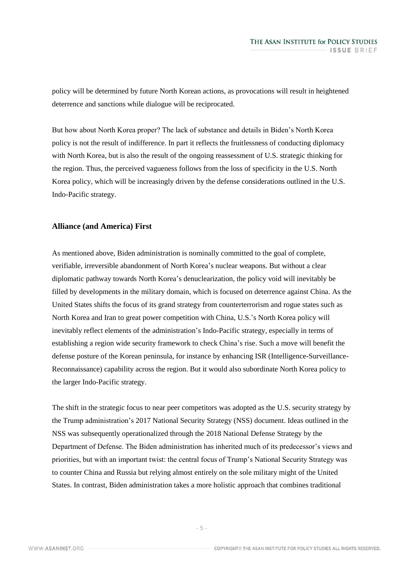policy will be determined by future North Korean actions, as provocations will result in heightened deterrence and sanctions while dialogue will be reciprocated.

But how about North Korea proper? The lack of substance and details in Biden's North Korea policy is not the result of indifference. In part it reflects the fruitlessness of conducting diplomacy with North Korea, but is also the result of the ongoing reassessment of U.S. strategic thinking for the region. Thus, the perceived vagueness follows from the loss of specificity in the U.S. North Korea policy, which will be increasingly driven by the defense considerations outlined in the U.S. Indo-Pacific strategy.

## **Alliance (and America) First**

As mentioned above, Biden administration is nominally committed to the goal of complete, verifiable, irreversible abandonment of North Korea's nuclear weapons. But without a clear diplomatic pathway towards North Korea's denuclearization, the policy void will inevitably be filled by developments in the military domain, which is focused on deterrence against China. As the United States shifts the focus of its grand strategy from counterterrorism and rogue states such as North Korea and Iran to great power competition with China, U.S.'s North Korea policy will inevitably reflect elements of the administration's Indo-Pacific strategy, especially in terms of establishing a region wide security framework to check China's rise. Such a move will benefit the defense posture of the Korean peninsula, for instance by enhancing ISR (Intelligence-Surveillance-Reconnaissance) capability across the region. But it would also subordinate North Korea policy to the larger Indo-Pacific strategy.

The shift in the strategic focus to near peer competitors was adopted as the U.S. security strategy by the Trump administration's 2017 National Security Strategy (NSS) document. Ideas outlined in the NSS was subsequently operationalized through the 2018 National Defense Strategy by the Department of Defense. The Biden administration has inherited much of its predecessor's views and priorities, but with an important twist: the central focus of Trump's National Security Strategy was to counter China and Russia but relying almost entirely on the sole military might of the United States. In contrast, Biden administration takes a more holistic approach that combines traditional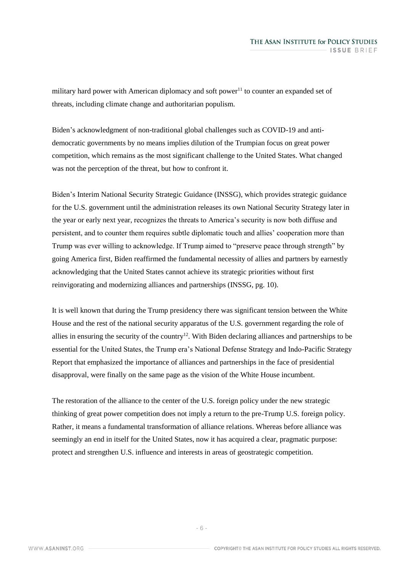military hard power with American diplomacy and soft power<sup>11</sup> to counter an expanded set of threats, including climate change and authoritarian populism.

Biden's acknowledgment of non-traditional global challenges such as COVID-19 and antidemocratic governments by no means implies dilution of the Trumpian focus on great power competition, which remains as the most significant challenge to the United States. What changed was not the perception of the threat, but how to confront it.

Biden's Interim National Security Strategic Guidance (INSSG), which provides strategic guidance for the U.S. government until the administration releases its own National Security Strategy later in the year or early next year, recognizes the threats to America's security is now both diffuse and persistent, and to counter them requires subtle diplomatic touch and allies' cooperation more than Trump was ever willing to acknowledge. If Trump aimed to "preserve peace through strength" by going America first, Biden reaffirmed the fundamental necessity of allies and partners by earnestly acknowledging that the United States cannot achieve its strategic priorities without first reinvigorating and modernizing alliances and partnerships (INSSG, pg. 10).

It is well known that during the Trump presidency there was significant tension between the White House and the rest of the national security apparatus of the U.S. government regarding the role of allies in ensuring the security of the country<sup>12</sup>. With Biden declaring alliances and partnerships to be essential for the United States, the Trump era's National Defense Strategy and Indo-Pacific Strategy Report that emphasized the importance of alliances and partnerships in the face of presidential disapproval, were finally on the same page as the vision of the White House incumbent.

The restoration of the alliance to the center of the U.S. foreign policy under the new strategic thinking of great power competition does not imply a return to the pre-Trump U.S. foreign policy. Rather, it means a fundamental transformation of alliance relations. Whereas before alliance was seemingly an end in itself for the United States, now it has acquired a clear, pragmatic purpose: protect and strengthen U.S. influence and interests in areas of geostrategic competition.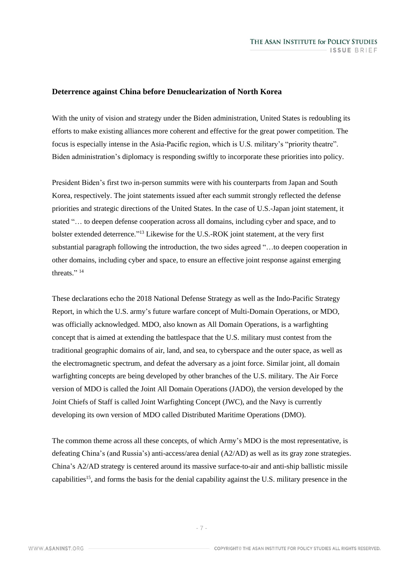#### **Deterrence against China before Denuclearization of North Korea**

With the unity of vision and strategy under the Biden administration, United States is redoubling its efforts to make existing alliances more coherent and effective for the great power competition. The focus is especially intense in the Asia-Pacific region, which is U.S. military's "priority theatre". Biden administration's diplomacy is responding swiftly to incorporate these priorities into policy.

President Biden's first two in-person summits were with his counterparts from Japan and South Korea, respectively. The joint statements issued after each summit strongly reflected the defense priorities and strategic directions of the United States. In the case of U.S.-Japan joint statement, it stated "… to deepen defense cooperation across all domains, including cyber and space, and to bolster extended deterrence."<sup>13</sup> Likewise for the U.S.-ROK joint statement, at the very first substantial paragraph following the introduction, the two sides agreed "…to deepen cooperation in other domains, including cyber and space, to ensure an effective joint response against emerging threats."<sup>14</sup>

These declarations echo the 2018 National Defense Strategy as well as the Indo-Pacific Strategy Report, in which the U.S. army's future warfare concept of Multi-Domain Operations, or MDO, was officially acknowledged. MDO, also known as All Domain Operations, is a warfighting concept that is aimed at extending the battlespace that the U.S. military must contest from the traditional geographic domains of air, land, and sea, to cyberspace and the outer space, as well as the electromagnetic spectrum, and defeat the adversary as a joint force. Similar joint, all domain warfighting concepts are being developed by other branches of the U.S. military. The Air Force version of MDO is called the Joint All Domain Operations (JADO), the version developed by the Joint Chiefs of Staff is called Joint Warfighting Concept (JWC), and the Navy is currently developing its own version of MDO called Distributed Maritime Operations (DMO).

The common theme across all these concepts, of which Army's MDO is the most representative, is defeating China's (and Russia's) anti-access/area denial (A2/AD) as well as its gray zone strategies. China's A2/AD strategy is centered around its massive surface-to-air and anti-ship ballistic missile capabilities<sup>15</sup>, and forms the basis for the denial capability against the U.S. military presence in the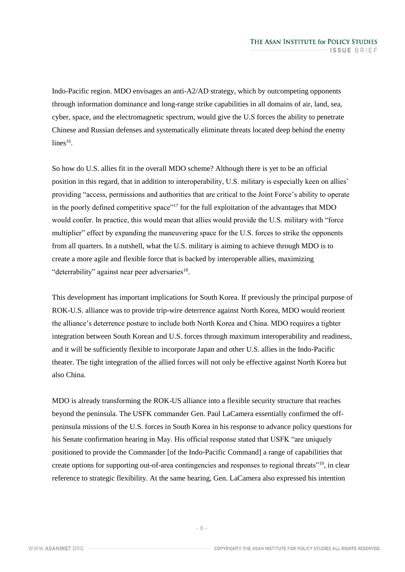Indo-Pacific region. MDO envisages an anti-A2/AD strategy, which by outcompeting opponents through information dominance and long-range strike capabilities in all domains of air, land, sea, cyber, space, and the electromagnetic spectrum, would give the U.S forces the ability to penetrate Chinese and Russian defenses and systematically eliminate threats located deep behind the enemy  $lines<sup>16</sup>$ .

So how do U.S. allies fit in the overall MDO scheme? Although there is yet to be an official position in this regard, that in addition to interoperability, U.S. military is especially keen on allies' providing "access, permissions and authorities that are critical to the Joint Force's ability to operate in the poorly defined competitive space"<sup>17</sup> for the full exploitation of the advantages that MDO would confer. In practice, this would mean that allies would provide the U.S. military with "force multiplier" effect by expanding the maneuvering space for the U.S. forces to strike the opponents from all quarters. In a nutshell, what the U.S. military is aiming to achieve through MDO is to create a more agile and flexible force that is backed by interoperable allies, maximizing "deterrability" against near peer adversaries<sup>18</sup>.

This development has important implications for South Korea. If previously the principal purpose of ROK-U.S. alliance was to provide trip-wire deterrence against North Korea, MDO would reorient the alliance's deterrence posture to include both North Korea and China. MDO requires a tighter integration between South Korean and U.S. forces through maximum interoperability and readiness, and it will be sufficiently flexible to incorporate Japan and other U.S. allies in the Indo-Pacific theater. The tight integration of the allied forces will not only be effective against North Korea but also China.

MDO is already transforming the ROK-US alliance into a flexible security structure that reaches beyond the peninsula. The USFK commander Gen. Paul LaCamera essentially confirmed the offpeninsula missions of the U.S. forces in South Korea in his response to advance policy questions for his Senate confirmation hearing in May. His official response stated that USFK "are uniquely positioned to provide the Commander [of the Indo-Pacific Command] a range of capabilities that create options for supporting out-of-area contingencies and responses to regional threats"<sup>19</sup>, in clear reference to strategic flexibility. At the same hearing, Gen. LaCamera also expressed his intention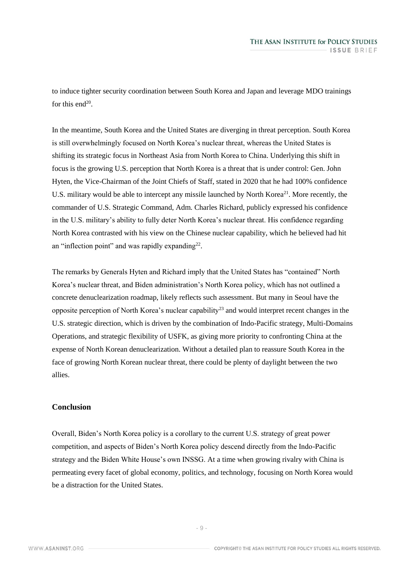to induce tighter security coordination between South Korea and Japan and leverage MDO trainings for this end $20$ .

In the meantime, South Korea and the United States are diverging in threat perception. South Korea is still overwhelmingly focused on North Korea's nuclear threat, whereas the United States is shifting its strategic focus in Northeast Asia from North Korea to China. Underlying this shift in focus is the growing U.S. perception that North Korea is a threat that is under control: Gen. John Hyten, the Vice-Chairman of the Joint Chiefs of Staff, stated in 2020 that he had 100% confidence U.S. military would be able to intercept any missile launched by North Korea<sup>21</sup>. More recently, the commander of U.S. Strategic Command, Adm. Charles Richard, publicly expressed his confidence in the U.S. military's ability to fully deter North Korea's nuclear threat. His confidence regarding North Korea contrasted with his view on the Chinese nuclear capability, which he believed had hit an "inflection point" and was rapidly expanding<sup>22</sup>.

The remarks by Generals Hyten and Richard imply that the United States has "contained" North Korea's nuclear threat, and Biden administration's North Korea policy, which has not outlined a concrete denuclearization roadmap, likely reflects such assessment. But many in Seoul have the opposite perception of North Korea's nuclear capability<sup>23</sup> and would interpret recent changes in the U.S. strategic direction, which is driven by the combination of Indo-Pacific strategy, Multi-Domains Operations, and strategic flexibility of USFK, as giving more priority to confronting China at the expense of North Korean denuclearization. Without a detailed plan to reassure South Korea in the face of growing North Korean nuclear threat, there could be plenty of daylight between the two allies.

## **Conclusion**

Overall, Biden's North Korea policy is a corollary to the current U.S. strategy of great power competition, and aspects of Biden's North Korea policy descend directly from the Indo-Pacific strategy and the Biden White House's own INSSG. At a time when growing rivalry with China is permeating every facet of global economy, politics, and technology, focusing on North Korea would be a distraction for the United States.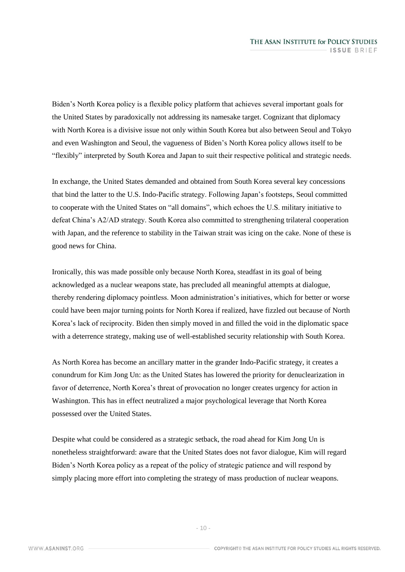Biden's North Korea policy is a flexible policy platform that achieves several important goals for the United States by paradoxically not addressing its namesake target. Cognizant that diplomacy with North Korea is a divisive issue not only within South Korea but also between Seoul and Tokyo and even Washington and Seoul, the vagueness of Biden's North Korea policy allows itself to be "flexibly" interpreted by South Korea and Japan to suit their respective political and strategic needs.

In exchange, the United States demanded and obtained from South Korea several key concessions that bind the latter to the U.S. Indo-Pacific strategy. Following Japan's footsteps, Seoul committed to cooperate with the United States on "all domains", which echoes the U.S. military initiative to defeat China's A2/AD strategy. South Korea also committed to strengthening trilateral cooperation with Japan, and the reference to stability in the Taiwan strait was icing on the cake. None of these is good news for China.

Ironically, this was made possible only because North Korea, steadfast in its goal of being acknowledged as a nuclear weapons state, has precluded all meaningful attempts at dialogue, thereby rendering diplomacy pointless. Moon administration's initiatives, which for better or worse could have been major turning points for North Korea if realized, have fizzled out because of North Korea's lack of reciprocity. Biden then simply moved in and filled the void in the diplomatic space with a deterrence strategy, making use of well-established security relationship with South Korea.

As North Korea has become an ancillary matter in the grander Indo-Pacific strategy, it creates a conundrum for Kim Jong Un: as the United States has lowered the priority for denuclearization in favor of deterrence, North Korea's threat of provocation no longer creates urgency for action in Washington. This has in effect neutralized a major psychological leverage that North Korea possessed over the United States.

Despite what could be considered as a strategic setback, the road ahead for Kim Jong Un is nonetheless straightforward: aware that the United States does not favor dialogue, Kim will regard Biden's North Korea policy as a repeat of the policy of strategic patience and will respond by simply placing more effort into completing the strategy of mass production of nuclear weapons.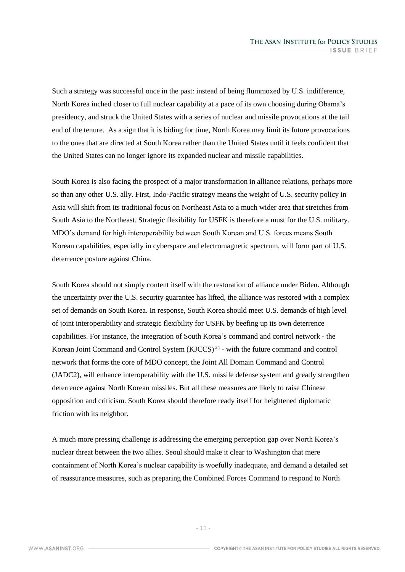Such a strategy was successful once in the past: instead of being flummoxed by U.S. indifference, North Korea inched closer to full nuclear capability at a pace of its own choosing during Obama's presidency, and struck the United States with a series of nuclear and missile provocations at the tail end of the tenure. As a sign that it is biding for time, North Korea may limit its future provocations to the ones that are directed at South Korea rather than the United States until it feels confident that the United States can no longer ignore its expanded nuclear and missile capabilities.

South Korea is also facing the prospect of a major transformation in alliance relations, perhaps more so than any other U.S. ally. First, Indo-Pacific strategy means the weight of U.S. security policy in Asia will shift from its traditional focus on Northeast Asia to a much wider area that stretches from South Asia to the Northeast. Strategic flexibility for USFK is therefore a must for the U.S. military. MDO's demand for high interoperability between South Korean and U.S. forces means South Korean capabilities, especially in cyberspace and electromagnetic spectrum, will form part of U.S. deterrence posture against China.

South Korea should not simply content itself with the restoration of alliance under Biden. Although the uncertainty over the U.S. security guarantee has lifted, the alliance was restored with a complex set of demands on South Korea. In response, South Korea should meet U.S. demands of high level of joint interoperability and strategic flexibility for USFK by beefing up its own deterrence capabilities. For instance, the integration of South Korea's command and control network - the Korean Joint Command and Control System  $(KJCCS)^{24}$  - with the future command and control network that forms the core of MDO concept, the Joint All Domain Command and Control (JADC2), will enhance interoperability with the U.S. missile defense system and greatly strengthen deterrence against North Korean missiles. But all these measures are likely to raise Chinese opposition and criticism. South Korea should therefore ready itself for heightened diplomatic friction with its neighbor.

A much more pressing challenge is addressing the emerging perception gap over North Korea's nuclear threat between the two allies. Seoul should make it clear to Washington that mere containment of North Korea's nuclear capability is woefully inadequate, and demand a detailed set of reassurance measures, such as preparing the Combined Forces Command to respond to North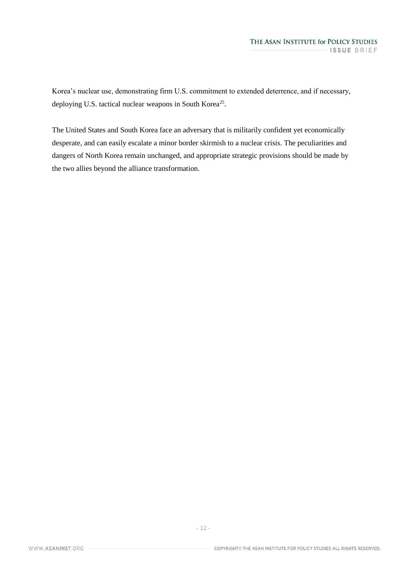Korea's nuclear use, demonstrating firm U.S. commitment to extended deterrence, and if necessary, deploying U.S. tactical nuclear weapons in South Korea<sup>25</sup>.

The United States and South Korea face an adversary that is militarily confident yet economically desperate, and can easily escalate a minor border skirmish to a nuclear crisis. The peculiarities and dangers of North Korea remain unchanged, and appropriate strategic provisions should be made by the two allies beyond the alliance transformation.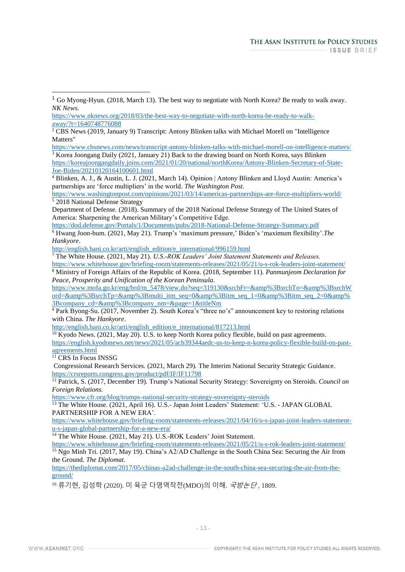<https://www.cbsnews.com/news/transcript-antony-blinken-talks-with-michael-morell-on-intelligence-matters/> <sup>3</sup> Korea Joongang Daily (2021, January 21) Back to the drawing board on North Korea, says Blinken [https://koreajoongangdaily.joins.com/2021/01/20/national/northKorea/Antony-Blinken-Secretary-of-State-](https://koreajoongangdaily.joins.com/2021/01/20/national/northKorea/Antony-Blinken-Secretary-of-State-Joe-Biden/20210120164100601.html)

[Joe-Biden/20210120164100601.html](https://koreajoongangdaily.joins.com/2021/01/20/national/northKorea/Antony-Blinken-Secretary-of-State-Joe-Biden/20210120164100601.html)

 $\overline{a}$ 

<sup>4</sup> Blinken, A. J., & Austin, L. J. (2021, March 14). Opinion | Antony Blinken and Lloyd Austin: America's partnerships are 'force multipliers' in the world. *The Washington Post.*

<https://www.washingtonpost.com/opinions/2021/03/14/americas-partnerships-are-force-multipliers-world/> <sup>5</sup> 2018 National Defense Strategy

[http://english.hani.co.kr/arti/english\\_edition/e\\_international/996159.html](http://english.hani.co.kr/arti/english_edition/e_international/996159.html)

<sup>7</sup> The White House. (2021, May 21). *U.S.-ROK Leaders' Joint Statement Statements and Releases.* <https://www.whitehouse.gov/briefing-room/statements-releases/2021/05/21/u-s-rok-leaders-joint-statement/>

<sup>8</sup> Ministry of Foreign Affairs of the Republic of Korea. (2018, September 11). *Panmunjeom Declaration for Peace, Prosperity and Unification of the Korean Peninsula.*

[https://www.mofa.go.kr/eng/brd/m\\_5478/view.do?seq=319130&srchFr=&amp%3BsrchTo=&amp%3BsrchW](https://www.mofa.go.kr/eng/brd/m_5478/view.do?seq=319130&srchFr=&%3BsrchTo=&%3BsrchWord=&%3BsrchTp=&%3Bmulti_itm_seq=0&%3Bitm_seq_1=0&%3Bitm_seq_2=0&%3Bcompany_cd=&%3Bcompany_nm=&page=1&titleNm) [ord=&amp%3BsrchTp=&amp%3Bmulti\\_itm\\_seq=0&amp%3Bitm\\_seq\\_1=0&amp%3Bitm\\_seq\\_2=0&amp%](https://www.mofa.go.kr/eng/brd/m_5478/view.do?seq=319130&srchFr=&%3BsrchTo=&%3BsrchWord=&%3BsrchTp=&%3Bmulti_itm_seq=0&%3Bitm_seq_1=0&%3Bitm_seq_2=0&%3Bcompany_cd=&%3Bcompany_nm=&page=1&titleNm) [3Bcompany\\_cd=&amp%3Bcompany\\_nm=&page=1&titleNm](https://www.mofa.go.kr/eng/brd/m_5478/view.do?seq=319130&srchFr=&%3BsrchTo=&%3BsrchWord=&%3BsrchTp=&%3Bmulti_itm_seq=0&%3Bitm_seq_1=0&%3Bitm_seq_2=0&%3Bcompany_cd=&%3Bcompany_nm=&page=1&titleNm)

<sup>9</sup> Park Byong-Su. (2017, November 2). South Korea's "three no's" announcement key to restoring relations with China. *The Hankyore*.

[http://english.hani.co.kr/arti/english\\_edition/e\\_international/817213.html](http://english.hani.co.kr/arti/english_edition/e_international/817213.html)

<sup>10</sup> Kyodo News. (2021, May 20). U.S. to keep North Korea policy flexible, build on past agreements. [https://english.kyodonews.net/news/2021/05/acb39344aedc-us-to-keep-n-korea-policy-flexible-build-on-past](https://english.kyodonews.net/news/2021/05/acb39344aedc-us-to-keep-n-korea-policy-flexible-build-on-past-agreements.html)[agreements.html](https://english.kyodonews.net/news/2021/05/acb39344aedc-us-to-keep-n-korea-policy-flexible-build-on-past-agreements.html)

<sup>11</sup> CRS In Focus INSSG

Congressional Research Services. (2021, March 29). The Interim National Security Strategic Guidance. <https://crsreports.congress.gov/product/pdf/IF/IF11798>

<sup>12</sup> Patrick, S. (2017, December 19). Trump's National Security Strategy: Sovereignty on Steroids. *Council on Foreign Relations.*

<https://www.cfr.org/blog/trumps-national-security-strategy-sovereignty-steroids>

<sup>13</sup> The White House. (2021, April 16). U.S.- Japan Joint Leaders' Statement: 'U.S. - JAPAN GLOBAL PARTNERSHIP FOR A NEW ERA'.

[https://www.whitehouse.gov/briefing-room/statements-releases/2021/04/16/u-s-japan-joint-leaders-statement](https://www.whitehouse.gov/briefing-room/statements-releases/2021/04/16/u-s-japan-joint-leaders-statement-u-s-japan-global-partnership-for-a-new-era/)[u-s-japan-global-partnership-for-a-new-era/](https://www.whitehouse.gov/briefing-room/statements-releases/2021/04/16/u-s-japan-joint-leaders-statement-u-s-japan-global-partnership-for-a-new-era/)

<sup>14</sup> The White House. (2021, May 21). U.S.-ROK Leaders' Joint Statement.

<https://www.whitehouse.gov/briefing-room/statements-releases/2021/05/21/u-s-rok-leaders-joint-statement/> <sup>15</sup> Ngo Minh Tri. (2017, May 19). China's A2/AD Challenge in the South China Sea: Securing the Air from the Ground. *The Diplomat*.

[https://thediplomat.com/2017/05/chinas-a2ad-challenge-in-the-south-china-sea-securing-the-air-from-the](https://thediplomat.com/2017/05/chinas-a2ad-challenge-in-the-south-china-sea-securing-the-air-from-the-ground/)[ground/](https://thediplomat.com/2017/05/chinas-a2ad-challenge-in-the-south-china-sea-securing-the-air-from-the-ground/)

16 류기현, 김성학 (2020). 미 육군 다영역작전(MDO)의 이해. *국방논단*, 1809.

<sup>&</sup>lt;sup>1</sup> Go Myong-Hyun. (2018, March 13). The best way to negotiate with North Korea? Be ready to walk away. *NK News*.

[https://www.nknews.org/2018/03/the-best-way-to-negotiate-with-north-korea-be-ready-to-walk](https://www.nknews.org/2018/03/the-best-way-to-negotiate-with-north-korea-be-ready-to-walk-away/?t=1640748776088)[away/?t=1640748776088](https://www.nknews.org/2018/03/the-best-way-to-negotiate-with-north-korea-be-ready-to-walk-away/?t=1640748776088)

 $\frac{2}{3}$  CBS News (2019, January 9) Transcript: Antony Blinken talks with Michael Morell on "Intelligence" Matters"

Department of Defense. (2018). Summary of the 2018 National Defense Strategy of The United States of America: Sharpening the American Military's Competitive Edge.

<https://dod.defense.gov/Portals/1/Documents/pubs/2018-National-Defense-Strategy-Summary.pdf> <sup>6</sup> Hwang Joon-bum. (2021, May 21). Trump's 'maximum pressure,' Biden's 'maximum flexibility'.*The Hankyore*.